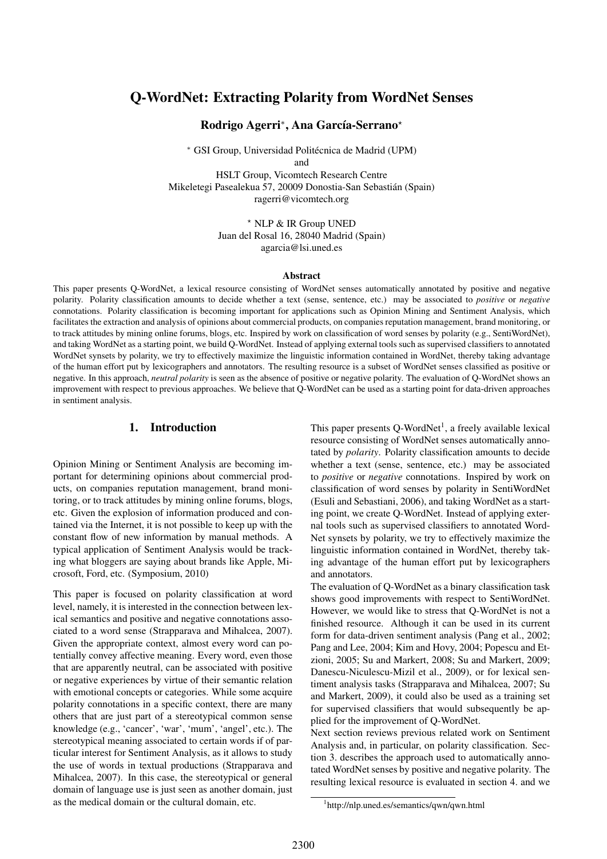# Q-WordNet: Extracting Polarity from WordNet Senses

Rodrigo Agerri\*, Ana García-Serrano\*

<sup>∗</sup> GSI Group, Universidad Politecnica de Madrid (UPM) ´ and

HSLT Group, Vicomtech Research Centre Mikeletegi Pasealekua 57, 20009 Donostia-San Sebastian (Spain) ´ ragerri@vicomtech.org

> ? NLP & IR Group UNED Juan del Rosal 16, 28040 Madrid (Spain) agarcia@lsi.uned.es

#### Abstract

This paper presents Q-WordNet, a lexical resource consisting of WordNet senses automatically annotated by positive and negative polarity. Polarity classification amounts to decide whether a text (sense, sentence, etc.) may be associated to *positive* or *negative* connotations. Polarity classification is becoming important for applications such as Opinion Mining and Sentiment Analysis, which facilitates the extraction and analysis of opinions about commercial products, on companies reputation management, brand monitoring, or to track attitudes by mining online forums, blogs, etc. Inspired by work on classification of word senses by polarity (e.g., SentiWordNet), and taking WordNet as a starting point, we build Q-WordNet. Instead of applying external tools such as supervised classifiers to annotated WordNet synsets by polarity, we try to effectively maximize the linguistic information contained in WordNet, thereby taking advantage of the human effort put by lexicographers and annotators. The resulting resource is a subset of WordNet senses classified as positive or negative. In this approach, *neutral polarity* is seen as the absence of positive or negative polarity. The evaluation of Q-WordNet shows an improvement with respect to previous approaches. We believe that Q-WordNet can be used as a starting point for data-driven approaches in sentiment analysis.

## 1. Introduction

Opinion Mining or Sentiment Analysis are becoming important for determining opinions about commercial products, on companies reputation management, brand monitoring, or to track attitudes by mining online forums, blogs, etc. Given the explosion of information produced and contained via the Internet, it is not possible to keep up with the constant flow of new information by manual methods. A typical application of Sentiment Analysis would be tracking what bloggers are saying about brands like Apple, Microsoft, Ford, etc. (Symposium, 2010)

This paper is focused on polarity classification at word level, namely, it is interested in the connection between lexical semantics and positive and negative connotations associated to a word sense (Strapparava and Mihalcea, 2007). Given the appropriate context, almost every word can potentially convey affective meaning. Every word, even those that are apparently neutral, can be associated with positive or negative experiences by virtue of their semantic relation with emotional concepts or categories. While some acquire polarity connotations in a specific context, there are many others that are just part of a stereotypical common sense knowledge (e.g., 'cancer', 'war', 'mum', 'angel', etc.). The stereotypical meaning associated to certain words if of particular interest for Sentiment Analysis, as it allows to study the use of words in textual productions (Strapparava and Mihalcea, 2007). In this case, the stereotypical or general domain of language use is just seen as another domain, just as the medical domain or the cultural domain, etc.

This paper presents  $Q$ -WordNet<sup>1</sup>, a freely available lexical resource consisting of WordNet senses automatically annotated by *polarity*. Polarity classification amounts to decide whether a text (sense, sentence, etc.) may be associated to *positive* or *negative* connotations. Inspired by work on classification of word senses by polarity in SentiWordNet (Esuli and Sebastiani, 2006), and taking WordNet as a starting point, we create Q-WordNet. Instead of applying external tools such as supervised classifiers to annotated Word-Net synsets by polarity, we try to effectively maximize the linguistic information contained in WordNet, thereby taking advantage of the human effort put by lexicographers and annotators.

The evaluation of Q-WordNet as a binary classification task shows good improvements with respect to SentiWordNet. However, we would like to stress that Q-WordNet is not a finished resource. Although it can be used in its current form for data-driven sentiment analysis (Pang et al., 2002; Pang and Lee, 2004; Kim and Hovy, 2004; Popescu and Etzioni, 2005; Su and Markert, 2008; Su and Markert, 2009; Danescu-Niculescu-Mizil et al., 2009), or for lexical sentiment analysis tasks (Strapparava and Mihalcea, 2007; Su and Markert, 2009), it could also be used as a training set for supervised classifiers that would subsequently be applied for the improvement of Q-WordNet.

Next section reviews previous related work on Sentiment Analysis and, in particular, on polarity classification. Section 3. describes the approach used to automatically annotated WordNet senses by positive and negative polarity. The resulting lexical resource is evaluated in section 4. and we

<sup>1</sup> http://nlp.uned.es/semantics/qwn/qwn.html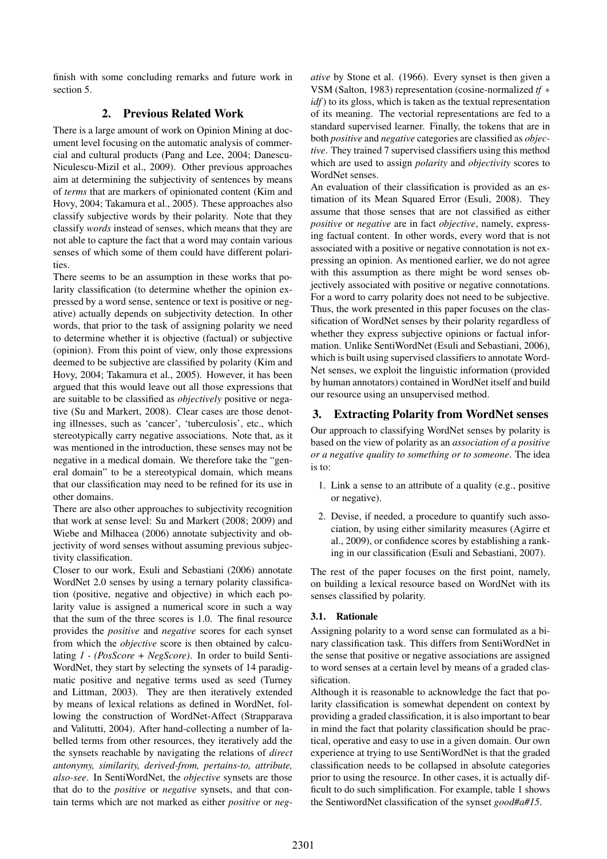finish with some concluding remarks and future work in section 5.

## 2. Previous Related Work

There is a large amount of work on Opinion Mining at document level focusing on the automatic analysis of commercial and cultural products (Pang and Lee, 2004; Danescu-Niculescu-Mizil et al., 2009). Other previous approaches aim at determining the subjectivity of sentences by means of *terms* that are markers of opinionated content (Kim and Hovy, 2004; Takamura et al., 2005). These approaches also classify subjective words by their polarity. Note that they classify *words* instead of senses, which means that they are not able to capture the fact that a word may contain various senses of which some of them could have different polarities.

There seems to be an assumption in these works that polarity classification (to determine whether the opinion expressed by a word sense, sentence or text is positive or negative) actually depends on subjectivity detection. In other words, that prior to the task of assigning polarity we need to determine whether it is objective (factual) or subjective (opinion). From this point of view, only those expressions deemed to be subjective are classified by polarity (Kim and Hovy, 2004; Takamura et al., 2005). However, it has been argued that this would leave out all those expressions that are suitable to be classified as *objectively* positive or negative (Su and Markert, 2008). Clear cases are those denoting illnesses, such as 'cancer', 'tuberculosis', etc., which stereotypically carry negative associations. Note that, as it was mentioned in the introduction, these senses may not be negative in a medical domain. We therefore take the "general domain" to be a stereotypical domain, which means that our classification may need to be refined for its use in other domains.

There are also other approaches to subjectivity recognition that work at sense level: Su and Markert (2008; 2009) and Wiebe and Milhacea (2006) annotate subjectivity and objectivity of word senses without assuming previous subjectivity classification.

Closer to our work, Esuli and Sebastiani (2006) annotate WordNet 2.0 senses by using a ternary polarity classification (positive, negative and objective) in which each polarity value is assigned a numerical score in such a way that the sum of the three scores is 1.0. The final resource provides the *positive* and *negative* scores for each synset from which the *objective* score is then obtained by calculating *1 - (PosScore + NegScore)*. In order to build Senti-WordNet, they start by selecting the synsets of 14 paradigmatic positive and negative terms used as seed (Turney and Littman, 2003). They are then iteratively extended by means of lexical relations as defined in WordNet, following the construction of WordNet-Affect (Strapparava and Valitutti, 2004). After hand-collecting a number of labelled terms from other resources, they iteratively add the the synsets reachable by navigating the relations of *direct antonymy, similarity, derived-from, pertains-to, attribute, also-see*. In SentiWordNet, the *objective* synsets are those that do to the *positive* or *negative* synsets, and that contain terms which are not marked as either *positive* or *neg-* *ative* by Stone et al. (1966). Every synset is then given a VSM (Salton, 1983) representation (cosine-normalized *tf* ∗ *idf*) to its gloss, which is taken as the textual representation of its meaning. The vectorial representations are fed to a standard supervised learner. Finally, the tokens that are in both *positive* and *negative* categories are classified as *objective*. They trained 7 supervised classifiers using this method which are used to assign *polarity* and *objectivity* scores to WordNet senses.

An evaluation of their classification is provided as an estimation of its Mean Squared Error (Esuli, 2008). They assume that those senses that are not classified as either *positive* or *negative* are in fact *objective*, namely, expressing factual content. In other words, every word that is not associated with a positive or negative connotation is not expressing an opinion. As mentioned earlier, we do not agree with this assumption as there might be word senses objectively associated with positive or negative connotations. For a word to carry polarity does not need to be subjective. Thus, the work presented in this paper focuses on the classification of WordNet senses by their polarity regardless of whether they express subjective opinions or factual information. Unlike SentiWordNet (Esuli and Sebastiani, 2006), which is built using supervised classifiers to annotate Word-Net senses, we exploit the linguistic information (provided by human annotators) contained in WordNet itself and build our resource using an unsupervised method.

## 3. Extracting Polarity from WordNet senses

Our approach to classifying WordNet senses by polarity is based on the view of polarity as an *association of a positive or a negative quality to something or to someone*. The idea is to:

- 1. Link a sense to an attribute of a quality (e.g., positive or negative).
- 2. Devise, if needed, a procedure to quantify such association, by using either similarity measures (Agirre et al., 2009), or confidence scores by establishing a ranking in our classification (Esuli and Sebastiani, 2007).

The rest of the paper focuses on the first point, namely, on building a lexical resource based on WordNet with its senses classified by polarity.

## 3.1. Rationale

Assigning polarity to a word sense can formulated as a binary classification task. This differs from SentiWordNet in the sense that positive or negative associations are assigned to word senses at a certain level by means of a graded classification.

Although it is reasonable to acknowledge the fact that polarity classification is somewhat dependent on context by providing a graded classification, it is also important to bear in mind the fact that polarity classification should be practical, operative and easy to use in a given domain. Our own experience at trying to use SentiWordNet is that the graded classification needs to be collapsed in absolute categories prior to using the resource. In other cases, it is actually difficult to do such simplification. For example, table 1 shows the SentiwordNet classification of the synset *good#a#15*.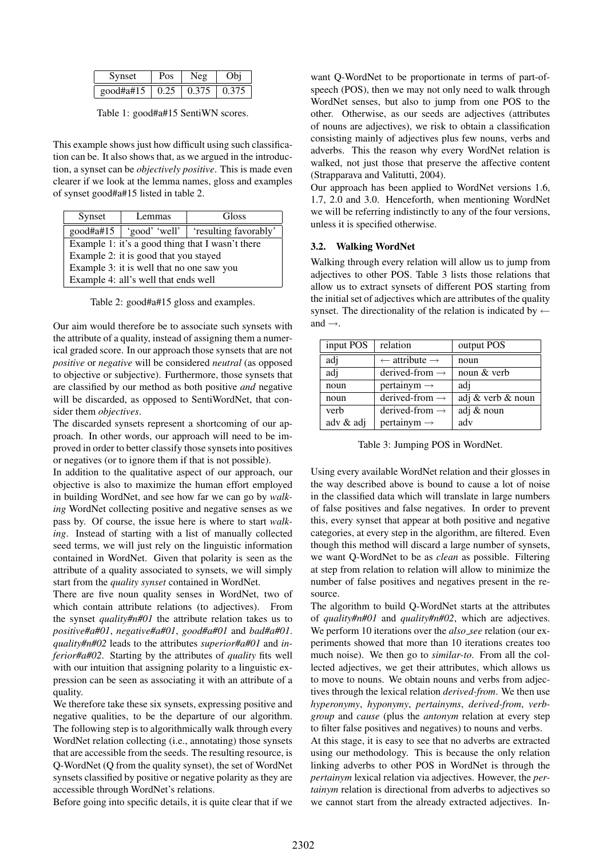| Synset    | Pos  | Neg   | Obi   |
|-----------|------|-------|-------|
| good#a#15 | 0.25 | 0.375 | 0.375 |

Table 1: good#a#15 SentiWN scores.

This example shows just how difficult using such classification can be. It also shows that, as we argued in the introduction, a synset can be *objectively positive*. This is made even clearer if we look at the lemma names, gloss and examples of synset good#a#15 listed in table 2.

| Synset                                    | Lemmas                                           | Gloss                 |  |  |  |  |
|-------------------------------------------|--------------------------------------------------|-----------------------|--|--|--|--|
| $good\#a\#15$                             | 'good' 'well' $\vert$                            | 'resulting favorably' |  |  |  |  |
|                                           | Example 1: it's a good thing that I wasn't there |                       |  |  |  |  |
| Example 2: it is good that you stayed     |                                                  |                       |  |  |  |  |
| Example 3: it is well that no one saw you |                                                  |                       |  |  |  |  |
| Example 4: all's well that ends well      |                                                  |                       |  |  |  |  |

Table 2: good#a#15 gloss and examples.

Our aim would therefore be to associate such synsets with the attribute of a quality, instead of assigning them a numerical graded score. In our approach those synsets that are not *positive* or *negative* will be considered *neutral* (as opposed to objective or subjective). Furthermore, those synsets that are classified by our method as both positive *and* negative will be discarded, as opposed to SentiWordNet, that consider them *objectives*.

The discarded synsets represent a shortcoming of our approach. In other words, our approach will need to be improved in order to better classify those synsets into positives or negatives (or to ignore them if that is not possible).

In addition to the qualitative aspect of our approach, our objective is also to maximize the human effort employed in building WordNet, and see how far we can go by *walking* WordNet collecting positive and negative senses as we pass by. Of course, the issue here is where to start *walking*. Instead of starting with a list of manually collected seed terms, we will just rely on the linguistic information contained in WordNet. Given that polarity is seen as the attribute of a quality associated to synsets, we will simply start from the *quality synset* contained in WordNet.

There are five noun quality senses in WordNet, two of which contain attribute relations (to adjectives). From the synset *quality#n#01* the attribute relation takes us to *positive#a#01*, *negative#a#01*, *good#a#01* and *bad#a#01*. *quality#n#02* leads to the attributes *superior#a#01* and *inferior#a#02*. Starting by the attributes of *quality* fits well with our intuition that assigning polarity to a linguistic expression can be seen as associating it with an attribute of a quality.

We therefore take these six synsets, expressing positive and negative qualities, to be the departure of our algorithm. The following step is to algorithmically walk through every WordNet relation collecting (i.e., annotating) those synsets that are accessible from the seeds. The resulting resource, is Q-WordNet (Q from the quality synset), the set of WordNet synsets classified by positive or negative polarity as they are accessible through WordNet's relations.

Before going into specific details, it is quite clear that if we

want Q-WordNet to be proportionate in terms of part-ofspeech (POS), then we may not only need to walk through WordNet senses, but also to jump from one POS to the other. Otherwise, as our seeds are adjectives (attributes of nouns are adjectives), we risk to obtain a classification consisting mainly of adjectives plus few nouns, verbs and adverbs. This the reason why every WordNet relation is walked, not just those that preserve the affective content (Strapparava and Valitutti, 2004).

Our approach has been applied to WordNet versions 1.6, 1.7, 2.0 and 3.0. Henceforth, when mentioning WordNet we will be referring indistinctly to any of the four versions, unless it is specified otherwise.

### 3.2. Walking WordNet

Walking through every relation will allow us to jump from adjectives to other POS. Table 3 lists those relations that allow us to extract synsets of different POS starting from the initial set of adjectives which are attributes of the quality synset. The directionality of the relation is indicated by  $\leftarrow$ and  $\rightarrow$ .

| input POS | relation                             | output POS        |
|-----------|--------------------------------------|-------------------|
| adj       | $\leftarrow$ attribute $\rightarrow$ | noun              |
| adj       | derived-from $\rightarrow$           | noun & verb       |
| noun      | pertainym $\rightarrow$              | adi               |
| noun      | derived-from $\rightarrow$           | adj & verb & noun |
| verb      | derived-from $\rightarrow$           | adj & noun        |
| adv & adj | pertainym $\rightarrow$              | adv               |

Table 3: Jumping POS in WordNet.

Using every available WordNet relation and their glosses in the way described above is bound to cause a lot of noise in the classified data which will translate in large numbers of false positives and false negatives. In order to prevent this, every synset that appear at both positive and negative categories, at every step in the algorithm, are filtered. Even though this method will discard a large number of synsets, we want Q-WordNet to be as *clean* as possible. Filtering at step from relation to relation will allow to minimize the number of false positives and negatives present in the resource.

The algorithm to build Q-WordNet starts at the attributes of *quality#n#01* and *quality#n#02*, which are adjectives. We perform 10 iterations over the *also\_see* relation (our experiments showed that more than 10 iterations creates too much noise). We then go to *similar-to*. From all the collected adjectives, we get their attributes, which allows us to move to nouns. We obtain nouns and verbs from adjectives through the lexical relation *derived-from*. We then use *hyperonymy*, *hyponymy*, *pertainyms*, *derived-from*, *verbgroup* and *cause* (plus the *antonym* relation at every step to filter false positives and negatives) to nouns and verbs.

At this stage, it is easy to see that no adverbs are extracted using our methodology. This is because the only relation linking adverbs to other POS in WordNet is through the *pertainym* lexical relation via adjectives. However, the *pertainym* relation is directional from adverbs to adjectives so we cannot start from the already extracted adjectives. In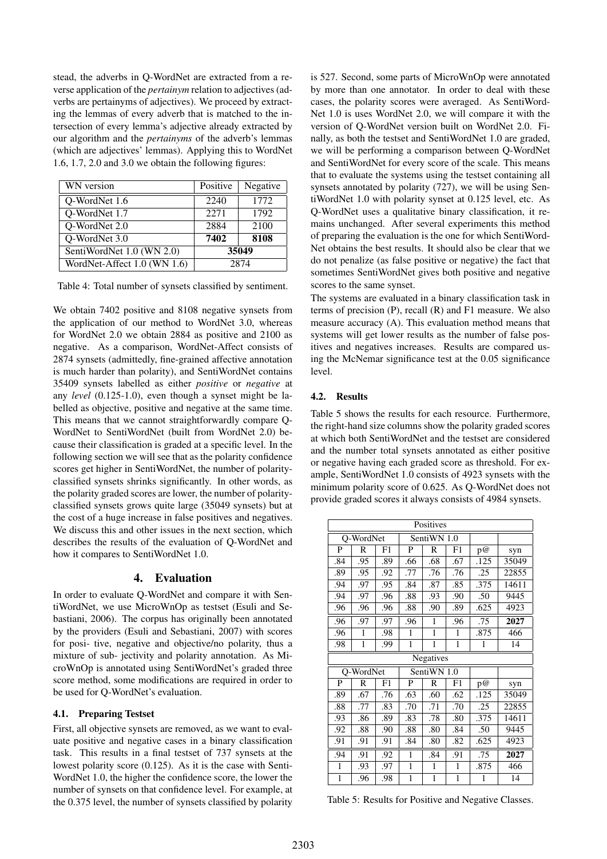stead, the adverbs in Q-WordNet are extracted from a reverse application of the *pertainym* relation to adjectives (adverbs are pertainyms of adjectives). We proceed by extracting the lemmas of every adverb that is matched to the intersection of every lemma's adjective already extracted by our algorithm and the *pertainyms* of the adverb's lemmas (which are adjectives' lemmas). Applying this to WordNet 1.6, 1.7, 2.0 and 3.0 we obtain the following figures:

| WN version                  | Positive | Negative |
|-----------------------------|----------|----------|
| Q-WordNet 1.6               | 2240     | 1772     |
| Q-WordNet 1.7               | 2271     | 1792     |
| Q-WordNet 2.0               | 2884     | 2100     |
| Q-WordNet 3.0               | 7402     | 8108     |
| SentiWordNet 1.0 (WN 2.0)   | 35049    |          |
| WordNet-Affect 1.0 (WN 1.6) | 2874     |          |

Table 4: Total number of synsets classified by sentiment.

We obtain 7402 positive and 8108 negative synsets from the application of our method to WordNet 3.0, whereas for WordNet 2.0 we obtain 2884 as positive and 2100 as negative. As a comparison, WordNet-Affect consists of 2874 synsets (admittedly, fine-grained affective annotation is much harder than polarity), and SentiWordNet contains 35409 synsets labelled as either *positive* or *negative* at any *level* (0.125-1.0), even though a synset might be labelled as objective, positive and negative at the same time. This means that we cannot straightforwardly compare Q-WordNet to SentiWordNet (built from WordNet 2.0) because their classification is graded at a specific level. In the following section we will see that as the polarity confidence scores get higher in SentiWordNet, the number of polarityclassified synsets shrinks significantly. In other words, as the polarity graded scores are lower, the number of polarityclassified synsets grows quite large (35049 synsets) but at the cost of a huge increase in false positives and negatives. We discuss this and other issues in the next section, which describes the results of the evaluation of Q-WordNet and how it compares to SentiWordNet 1.0.

## 4. Evaluation

In order to evaluate Q-WordNet and compare it with SentiWordNet, we use MicroWnOp as testset (Esuli and Sebastiani, 2006). The corpus has originally been annotated by the providers (Esuli and Sebastiani, 2007) with scores for posi- tive, negative and objective/no polarity, thus a mixture of sub- jectivity and polarity annotation. As MicroWnOp is annotated using SentiWordNet's graded three score method, some modifications are required in order to be used for Q-WordNet's evaluation.

## 4.1. Preparing Testset

First, all objective synsets are removed, as we want to evaluate positive and negative cases in a binary classification task. This results in a final testset of 737 synsets at the lowest polarity score (0.125). As it is the case with Senti-WordNet 1.0, the higher the confidence score, the lower the number of synsets on that confidence level. For example, at the 0.375 level, the number of synsets classified by polarity

is 527. Second, some parts of MicroWnOp were annotated by more than one annotator. In order to deal with these cases, the polarity scores were averaged. As SentiWord-Net 1.0 is uses WordNet 2.0, we will compare it with the version of Q-WordNet version built on WordNet 2.0. Finally, as both the testset and SentiWordNet 1.0 are graded, we will be performing a comparison between Q-WordNet and SentiWordNet for every score of the scale. This means that to evaluate the systems using the testset containing all synsets annotated by polarity (727), we will be using SentiWordNet 1.0 with polarity synset at 0.125 level, etc. As Q-WordNet uses a qualitative binary classification, it remains unchanged. After several experiments this method of preparing the evaluation is the one for which SentiWord-Net obtains the best results. It should also be clear that we do not penalize (as false positive or negative) the fact that sometimes SentiWordNet gives both positive and negative scores to the same synset.

The systems are evaluated in a binary classification task in terms of precision (P), recall (R) and F1 measure. We also measure accuracy (A). This evaluation method means that systems will get lower results as the number of false positives and negatives increases. Results are compared using the McNemar significance test at the 0.05 significance level.

#### 4.2. Results

Table 5 shows the results for each resource. Furthermore, the right-hand size columns show the polarity graded scores at which both SentiWordNet and the testset are considered and the number total synsets annotated as either positive or negative having each graded score as threshold. For example, SentiWordNet 1.0 consists of 4923 synsets with the minimum polarity score of 0.625. As Q-WordNet does not provide graded scores it always consists of 4984 synsets.

| Positives    |           |     |              |              |              |      |       |
|--------------|-----------|-----|--------------|--------------|--------------|------|-------|
|              | Q-WordNet |     | SentiWN 1.0  |              |              |      |       |
| P            | R         | F1  | P            | R            | F1           | p@   | syn   |
| .84          | .95       | .89 | .66          | .68          | .67          | .125 | 35049 |
| .89          | .95       | .92 | .77          | .76          | .76          | .25  | 22855 |
| .94          | .97       | .95 | .84          | .87          | .85          | .375 | 14611 |
| .94          | .97       | .96 | .88          | .93          | .90          | .50  | 9445  |
| .96          | .96       | .96 | .88          | .90          | .89          | .625 | 4923  |
| .96          | .97       | .97 | .96          | 1            | .96          | .75  | 2027  |
| .96          | 1         | .98 | 1            | 1            | 1            | .875 | 466   |
| .98          | 1         | .99 | 1            | 1            | $\mathbf{1}$ | 1    | 14    |
|              |           |     |              |              |              |      |       |
|              |           |     |              | Negatives    |              |      |       |
|              | Q-WordNet |     |              | SentiWN 1.0  |              |      |       |
| P            | R         | F1  | P            | $\mathbb{R}$ | F1           | p@   | syn   |
| .89          | .67       | .76 | .63          | .60          | .62          | .125 | 35049 |
| .88          | .77       | .83 | .70          | .71          | .70          | .25  | 22855 |
| .93          | .86       | .89 | .83          | .78          | .80          | .375 | 14611 |
| .92          | .88       | .90 | .88          | .80          | .84          | .50  | 9445  |
| .91          | .91       | .91 | .84          | .80          | .82          | .625 | 4923  |
| .94          | .91       | .92 | 1            | .84          | .91          | .75  | 2027  |
| $\mathbf{1}$ | .93       | .97 | $\mathbf{1}$ | 1            | $\mathbf{1}$ | .875 | 466   |

Table 5: Results for Positive and Negative Classes.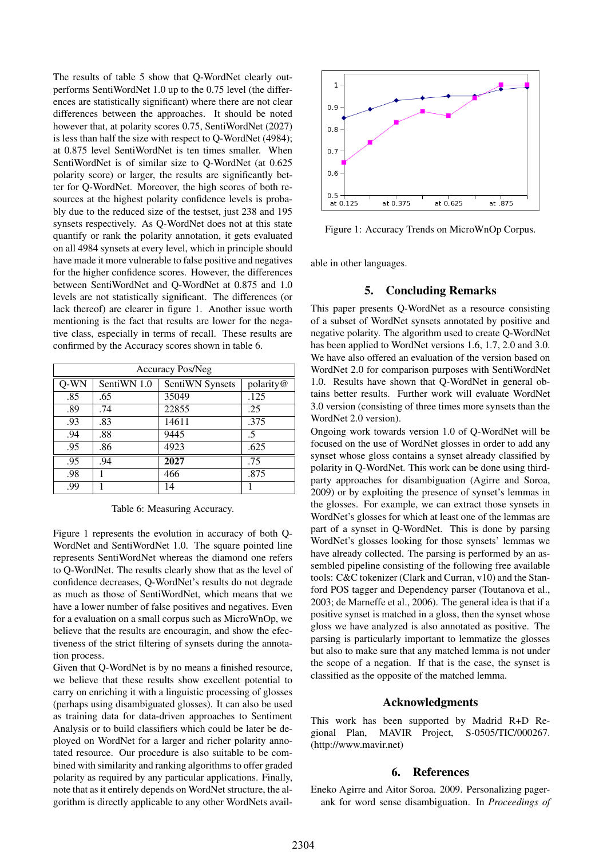The results of table 5 show that Q-WordNet clearly outperforms SentiWordNet 1.0 up to the 0.75 level (the differences are statistically significant) where there are not clear differences between the approaches. It should be noted however that, at polarity scores 0.75, SentiWordNet (2027) is less than half the size with respect to Q-WordNet (4984); at 0.875 level SentiWordNet is ten times smaller. When SentiWordNet is of similar size to Q-WordNet (at 0.625 polarity score) or larger, the results are significantly better for Q-WordNet. Moreover, the high scores of both resources at the highest polarity confidence levels is probably due to the reduced size of the testset, just 238 and 195 synsets respectively. As Q-WordNet does not at this state quantify or rank the polarity annotation, it gets evaluated on all 4984 synsets at every level, which in principle should have made it more vulnerable to false positive and negatives for the higher confidence scores. However, the differences between SentiWordNet and Q-WordNet at 0.875 and 1.0 levels are not statistically significant. The differences (or lack thereof) are clearer in figure 1. Another issue worth mentioning is the fact that results are lower for the negative class, especially in terms of recall. These results are confirmed by the Accuracy scores shown in table 6.

| <b>Accuracy Pos/Neg</b> |             |                 |           |  |  |
|-------------------------|-------------|-----------------|-----------|--|--|
| $Q-WN$                  | SentiWN 1.0 | SentiWN Synsets | polarity@ |  |  |
| .85                     | .65         | 35049           | .125      |  |  |
| .89                     | .74         | 22855           | .25       |  |  |
| .93                     | .83         | 14611           | .375      |  |  |
| .94                     | .88         | 9445            | .5        |  |  |
| .95                     | .86         | 4923            | .625      |  |  |
| .95                     | .94         | 2027            | .75       |  |  |
| .98                     |             | 466             | .875      |  |  |
| .99                     |             | 14              |           |  |  |

Table 6: Measuring Accuracy.

Figure 1 represents the evolution in accuracy of both Q-WordNet and SentiWordNet 1.0. The square pointed line represents SentiWordNet whereas the diamond one refers to Q-WordNet. The results clearly show that as the level of confidence decreases, Q-WordNet's results do not degrade as much as those of SentiWordNet, which means that we have a lower number of false positives and negatives. Even for a evaluation on a small corpus such as MicroWnOp, we believe that the results are encouragin, and show the efectiveness of the strict filtering of synsets during the annotation process.

Given that Q-WordNet is by no means a finished resource, we believe that these results show excellent potential to carry on enriching it with a linguistic processing of glosses (perhaps using disambiguated glosses). It can also be used as training data for data-driven approaches to Sentiment Analysis or to build classifiers which could be later be deployed on WordNet for a larger and richer polarity annotated resource. Our procedure is also suitable to be combined with similarity and ranking algorithms to offer graded polarity as required by any particular applications. Finally, note that as it entirely depends on WordNet structure, the algorithm is directly applicable to any other WordNets avail-



Figure 1: Accuracy Trends on MicroWnOp Corpus.

able in other languages.

### 5. Concluding Remarks

This paper presents Q-WordNet as a resource consisting of a subset of WordNet synsets annotated by positive and negative polarity. The algorithm used to create Q-WordNet has been applied to WordNet versions 1.6, 1.7, 2.0 and 3.0. We have also offered an evaluation of the version based on WordNet 2.0 for comparison purposes with SentiWordNet 1.0. Results have shown that Q-WordNet in general obtains better results. Further work will evaluate WordNet 3.0 version (consisting of three times more synsets than the WordNet 2.0 version).

Ongoing work towards version 1.0 of Q-WordNet will be focused on the use of WordNet glosses in order to add any synset whose gloss contains a synset already classified by polarity in Q-WordNet. This work can be done using thirdparty approaches for disambiguation (Agirre and Soroa, 2009) or by exploiting the presence of synset's lemmas in the glosses. For example, we can extract those synsets in WordNet's glosses for which at least one of the lemmas are part of a synset in Q-WordNet. This is done by parsing WordNet's glosses looking for those synsets' lemmas we have already collected. The parsing is performed by an assembled pipeline consisting of the following free available tools: C&C tokenizer (Clark and Curran, v10) and the Stanford POS tagger and Dependency parser (Toutanova et al., 2003; de Marneffe et al., 2006). The general idea is that if a positive synset is matched in a gloss, then the synset whose gloss we have analyzed is also annotated as positive. The parsing is particularly important to lemmatize the glosses but also to make sure that any matched lemma is not under the scope of a negation. If that is the case, the synset is classified as the opposite of the matched lemma.

#### Acknowledgments

This work has been supported by Madrid R+D Regional Plan, MAVIR Project, S-0505/TIC/000267. (http://www.mavir.net)

#### 6. References

Eneko Agirre and Aitor Soroa. 2009. Personalizing pagerank for word sense disambiguation. In *Proceedings of*